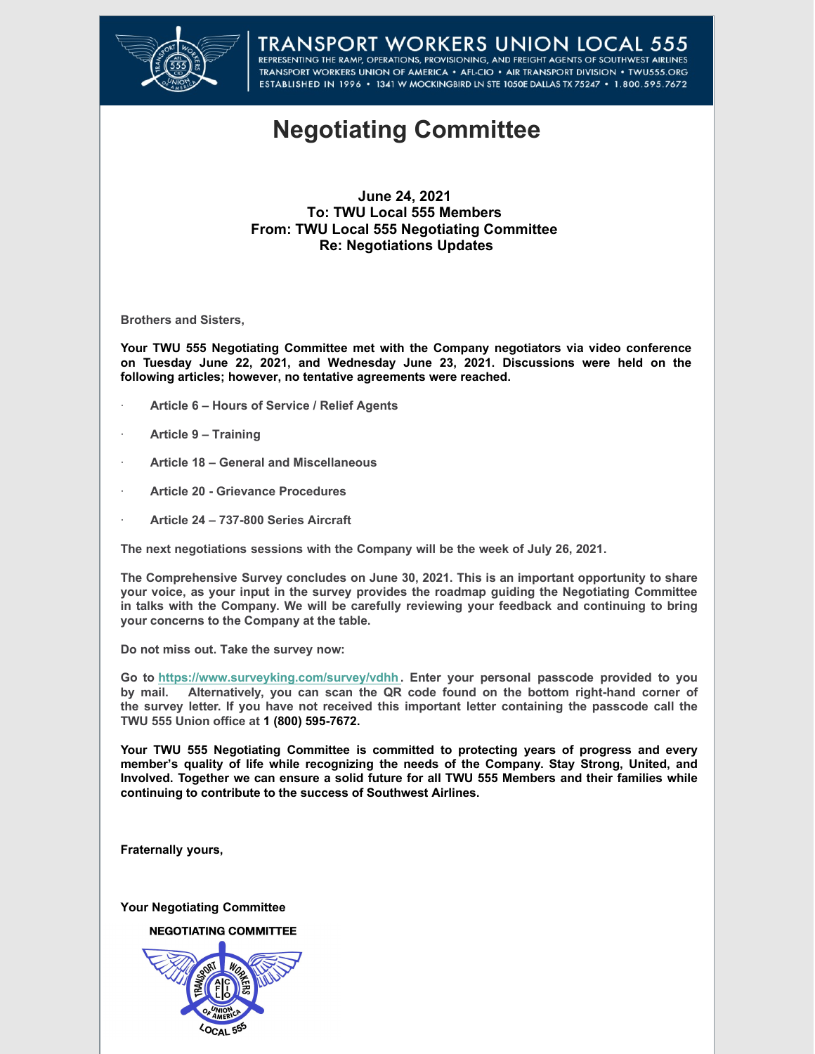

## TRANSPORT WORKERS UNION LOCAL 555<br>REPRESENTING THE RAMP, OPERATIONS, PROVISIONING, AND FREIGHT AGENTS OF SOUTHWEST AIRLINES TRANSPORT WORKERS UNION OF AMERICA . AFL-CIO . AIR TRANSPORT DIVISION . TWU555.ORG ESTABLISHED IN 1996 · 1341 W MOCKINGBIRD LN STE 1050E DALLAS TX 75247 · 1.800.595.7672

## **Negotiating Committee**

## **June 24, 2021 To: TWU Local 555 Members From: TWU Local 555 Negotiating Committee Re: Negotiations Updates**

**Brothers and Sisters,**

**Your TWU 555 Negotiating Committee met with the Company negotiators via video conference on Tuesday June 22, 2021, and Wednesday June 23, 2021. Discussions were held on the following articles; however, no tentative agreements were reached.**

- · **Article 6 Hours of Service / Relief Agents**
- · **Article 9 Training**
- · **Article 18 General and Miscellaneous**
- · **Article 20 Grievance Procedures**
- · **Article 24 737-800 Series Aircraft**

**The next negotiations sessions with the Company will be the week of July 26, 2021.**

**The Comprehensive Survey concludes on June 30, 2021. This is an important opportunity to share your voice, as your input in the survey provides the roadmap guiding the Negotiating Committee in talks with the Company. We will be carefully reviewing your feedback and continuing to bring your concerns to the Company at the table.**

**Do not miss out. Take the survey now:**

**Go to [https://www.surveyking.com/survey/vdhh.](https://www.surveyking.com/survey/vdhh) Enter your personal passcode provided to you by mail. Alternatively, you can scan the QR code found on the bottom right-hand corner of the survey letter. If you have not received this important letter containing the passcode call the TWU 555 Union office at 1 (800) 595-7672.**

**Your TWU 555 Negotiating Committee is committed to protecting years of progress and every member's quality of life while recognizing the needs of the Company. Stay Strong, United, and Involved. Together we can ensure a solid future for all TWU 555 Members and their families while continuing to contribute to the success of Southwest Airlines.**

**Fraternally yours,**

**Your Negotiating Committee**